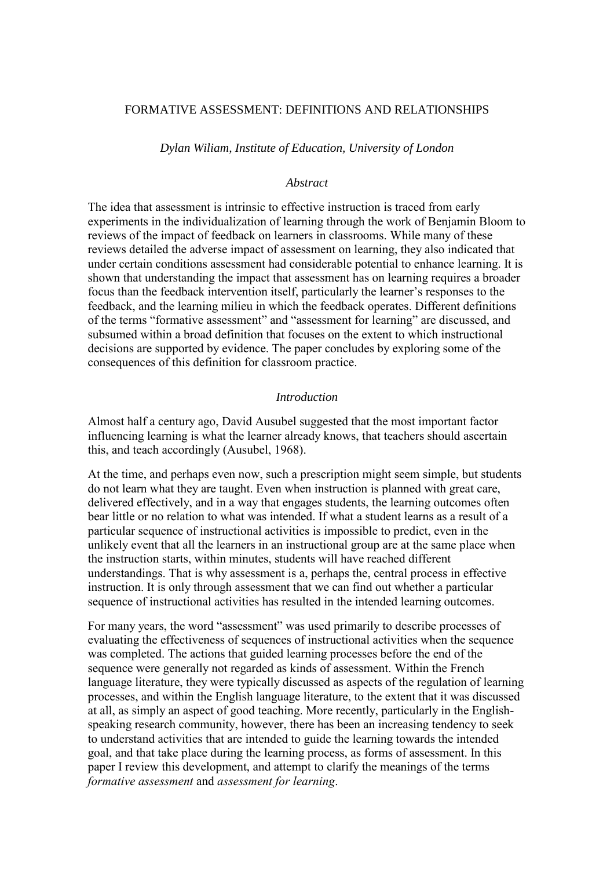# FORMATIVE ASSESSMENT: DEFINITIONS AND RELATIONSHIPS

*Dylan Wiliam, Institute of Education, University of London*

## *Abstract*

The idea that assessment is intrinsic to effective instruction is traced from early experiments in the individualization of learning through the work of Benjamin Bloom to reviews of the impact of feedback on learners in classrooms. While many of these reviews detailed the adverse impact of assessment on learning, they also indicated that under certain conditions assessment had considerable potential to enhance learning. It is shown that understanding the impact that assessment has on learning requires a broader focus than the feedback intervention itself, particularly the learner"s responses to the feedback, and the learning milieu in which the feedback operates. Different definitions of the terms "formative assessment" and "assessment for learning" are discussed, and subsumed within a broad definition that focuses on the extent to which instructional decisions are supported by evidence. The paper concludes by exploring some of the consequences of this definition for classroom practice.

#### *Introduction*

Almost half a century ago, David Ausubel suggested that the most important factor influencing learning is what the learner already knows, that teachers should ascertain this, and teach accordingly (Ausubel, 1968).

At the time, and perhaps even now, such a prescription might seem simple, but students do not learn what they are taught. Even when instruction is planned with great care, delivered effectively, and in a way that engages students, the learning outcomes often bear little or no relation to what was intended. If what a student learns as a result of a particular sequence of instructional activities is impossible to predict, even in the unlikely event that all the learners in an instructional group are at the same place when the instruction starts, within minutes, students will have reached different understandings. That is why assessment is a, perhaps the, central process in effective instruction. It is only through assessment that we can find out whether a particular sequence of instructional activities has resulted in the intended learning outcomes.

For many years, the word "assessment" was used primarily to describe processes of evaluating the effectiveness of sequences of instructional activities when the sequence was completed. The actions that guided learning processes before the end of the sequence were generally not regarded as kinds of assessment. Within the French language literature, they were typically discussed as aspects of the regulation of learning processes, and within the English language literature, to the extent that it was discussed at all, as simply an aspect of good teaching. More recently, particularly in the Englishspeaking research community, however, there has been an increasing tendency to seek to understand activities that are intended to guide the learning towards the intended goal, and that take place during the learning process, as forms of assessment. In this paper I review this development, and attempt to clarify the meanings of the terms *formative assessment* and *assessment for learning*.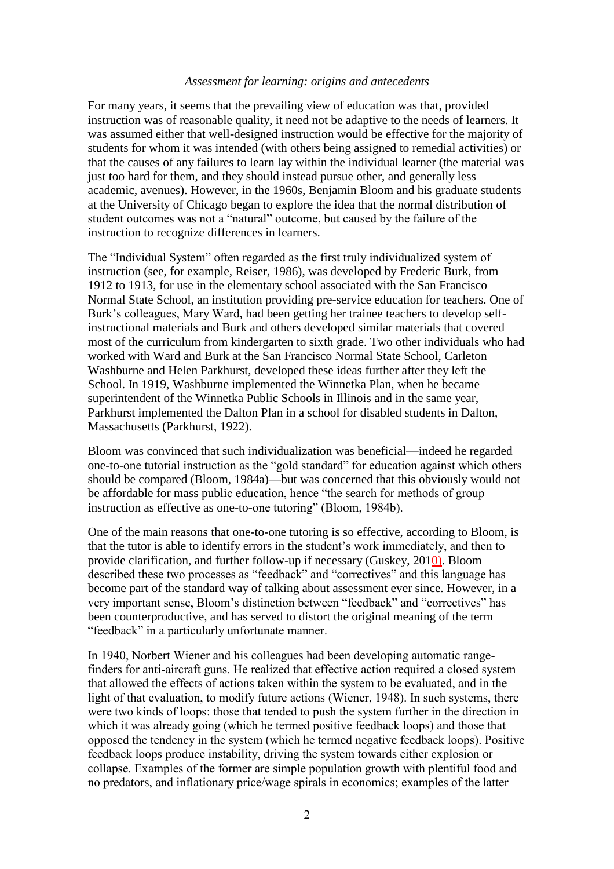#### *Assessment for learning: origins and antecedents*

For many years, it seems that the prevailing view of education was that, provided instruction was of reasonable quality, it need not be adaptive to the needs of learners. It was assumed either that well-designed instruction would be effective for the majority of students for whom it was intended (with others being assigned to remedial activities) or that the causes of any failures to learn lay within the individual learner (the material was just too hard for them, and they should instead pursue other, and generally less academic, avenues). However, in the 1960s, Benjamin Bloom and his graduate students at the University of Chicago began to explore the idea that the normal distribution of student outcomes was not a "natural" outcome, but caused by the failure of the instruction to recognize differences in learners.

The "Individual System" often regarded as the first truly individualized system of instruction (see, for example, Reiser, 1986), was developed by Frederic Burk, from 1912 to 1913, for use in the elementary school associated with the San Francisco Normal State School, an institution providing pre-service education for teachers. One of Burk's colleagues, Mary Ward, had been getting her trainee teachers to develop selfinstructional materials and Burk and others developed similar materials that covered most of the curriculum from kindergarten to sixth grade. Two other individuals who had worked with Ward and Burk at the San Francisco Normal State School, Carleton Washburne and Helen Parkhurst, developed these ideas further after they left the School. In 1919, Washburne implemented the Winnetka Plan, when he became superintendent of the Winnetka Public Schools in Illinois and in the same year, Parkhurst implemented the Dalton Plan in a school for disabled students in Dalton, Massachusetts (Parkhurst, 1922).

Bloom was convinced that such individualization was beneficial—indeed he regarded one-to-one tutorial instruction as the "gold standard" for education against which others should be compared (Bloom, 1984a)—but was concerned that this obviously would not be affordable for mass public education, hence "the search for methods of group instruction as effective as one-to-one tutoring" (Bloom, 1984b).

One of the main reasons that one-to-one tutoring is so effective, according to Bloom, is that the tutor is able to identify errors in the student's work immediately, and then to provide clarification, and further follow-up if necessary (Guskey, 2010). Bloom described these two processes as "feedback" and "correctives" and this language has become part of the standard way of talking about assessment ever since. However, in a very important sense, Bloom's distinction between "feedback" and "correctives" has been counterproductive, and has served to distort the original meaning of the term "feedback" in a particularly unfortunate manner.

In 1940, Norbert Wiener and his colleagues had been developing automatic rangefinders for anti-aircraft guns. He realized that effective action required a closed system that allowed the effects of actions taken within the system to be evaluated, and in the light of that evaluation, to modify future actions (Wiener, 1948). In such systems, there were two kinds of loops: those that tended to push the system further in the direction in which it was already going (which he termed positive feedback loops) and those that opposed the tendency in the system (which he termed negative feedback loops). Positive feedback loops produce instability, driving the system towards either explosion or collapse. Examples of the former are simple population growth with plentiful food and no predators, and inflationary price/wage spirals in economics; examples of the latter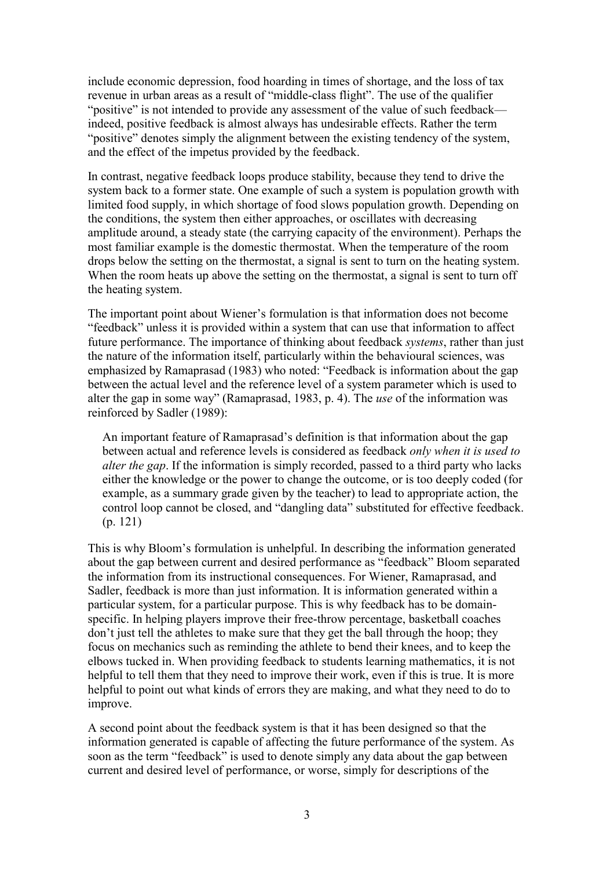include economic depression, food hoarding in times of shortage, and the loss of tax revenue in urban areas as a result of "middle-class flight". The use of the qualifier "positive" is not intended to provide any assessment of the value of such feedback indeed, positive feedback is almost always has undesirable effects. Rather the term "positive" denotes simply the alignment between the existing tendency of the system, and the effect of the impetus provided by the feedback.

In contrast, negative feedback loops produce stability, because they tend to drive the system back to a former state. One example of such a system is population growth with limited food supply, in which shortage of food slows population growth. Depending on the conditions, the system then either approaches, or oscillates with decreasing amplitude around, a steady state (the carrying capacity of the environment). Perhaps the most familiar example is the domestic thermostat. When the temperature of the room drops below the setting on the thermostat, a signal is sent to turn on the heating system. When the room heats up above the setting on the thermostat, a signal is sent to turn off the heating system.

The important point about Wiener"s formulation is that information does not become "feedback" unless it is provided within a system that can use that information to affect future performance. The importance of thinking about feedback *systems*, rather than just the nature of the information itself, particularly within the behavioural sciences, was emphasized by Ramaprasad (1983) who noted: "Feedback is information about the gap between the actual level and the reference level of a system parameter which is used to alter the gap in some way" (Ramaprasad, 1983, p. 4). The *use* of the information was reinforced by Sadler (1989):

An important feature of Ramaprasad"s definition is that information about the gap between actual and reference levels is considered as feedback *only when it is used to alter the gap*. If the information is simply recorded, passed to a third party who lacks either the knowledge or the power to change the outcome, or is too deeply coded (for example, as a summary grade given by the teacher) to lead to appropriate action, the control loop cannot be closed, and "dangling data" substituted for effective feedback. (p. 121)

This is why Bloom"s formulation is unhelpful. In describing the information generated about the gap between current and desired performance as "feedback" Bloom separated the information from its instructional consequences. For Wiener, Ramaprasad, and Sadler, feedback is more than just information. It is information generated within a particular system, for a particular purpose. This is why feedback has to be domainspecific. In helping players improve their free-throw percentage, basketball coaches don"t just tell the athletes to make sure that they get the ball through the hoop; they focus on mechanics such as reminding the athlete to bend their knees, and to keep the elbows tucked in. When providing feedback to students learning mathematics, it is not helpful to tell them that they need to improve their work, even if this is true. It is more helpful to point out what kinds of errors they are making, and what they need to do to improve.

A second point about the feedback system is that it has been designed so that the information generated is capable of affecting the future performance of the system. As soon as the term "feedback" is used to denote simply any data about the gap between current and desired level of performance, or worse, simply for descriptions of the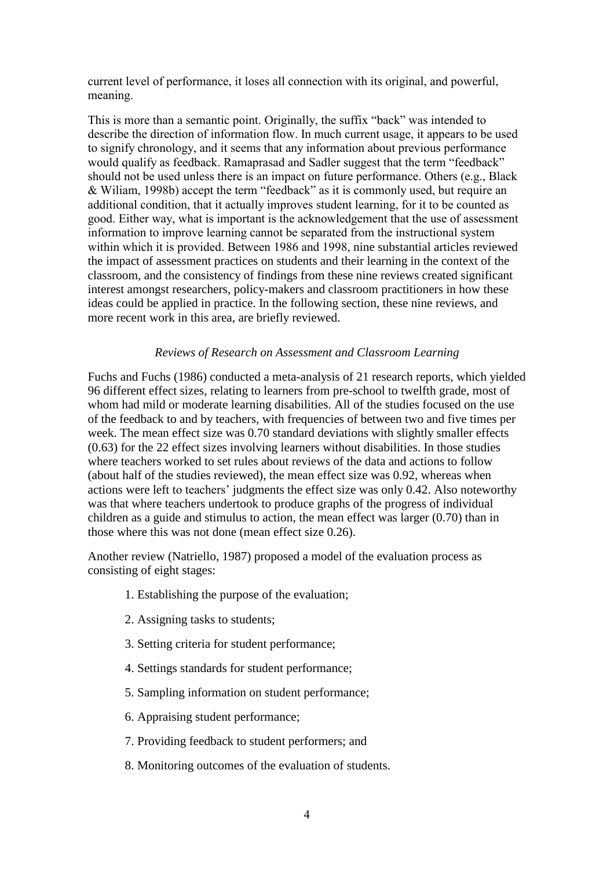current level of performance, it loses all connection with its original, and powerful, meaning.

This is more than a semantic point. Originally, the suffix "back" was intended to describe the direction of information flow. In much current usage, it appears to be used to signify chronology, and it seems that any information about previous performance would qualify as feedback. Ramaprasad and Sadler suggest that the term "feedback" should not be used unless there is an impact on future performance. Others (e.g., Black & Wiliam, 1998b) accept the term "feedback" as it is commonly used, but require an additional condition, that it actually improves student learning, for it to be counted as good. Either way, what is important is the acknowledgement that the use of assessment information to improve learning cannot be separated from the instructional system within which it is provided. Between 1986 and 1998, nine substantial articles reviewed the impact of assessment practices on students and their learning in the context of the classroom, and the consistency of findings from these nine reviews created significant interest amongst researchers, policy-makers and classroom practitioners in how these ideas could be applied in practice. In the following section, these nine reviews, and more recent work in this area, are briefly reviewed.

# *Reviews of Research on Assessment and Classroom Learning*

Fuchs and Fuchs (1986) conducted a meta-analysis of 21 research reports, which yielded 96 different effect sizes, relating to learners from pre-school to twelfth grade, most of whom had mild or moderate learning disabilities. All of the studies focused on the use of the feedback to and by teachers, with frequencies of between two and five times per week. The mean effect size was 0.70 standard deviations with slightly smaller effects (0.63) for the 22 effect sizes involving learners without disabilities. In those studies where teachers worked to set rules about reviews of the data and actions to follow (about half of the studies reviewed), the mean effect size was 0.92, whereas when actions were left to teachers' judgments the effect size was only 0.42. Also noteworthy was that where teachers undertook to produce graphs of the progress of individual children as a guide and stimulus to action, the mean effect was larger (0.70) than in those where this was not done (mean effect size 0.26).

Another review (Natriello, 1987) proposed a model of the evaluation process as consisting of eight stages:

- 1. Establishing the purpose of the evaluation;
- 2. Assigning tasks to students;
- 3. Setting criteria for student performance;
- 4. Settings standards for student performance;
- 5. Sampling information on student performance;
- 6. Appraising student performance;
- 7. Providing feedback to student performers; and
- 8. Monitoring outcomes of the evaluation of students.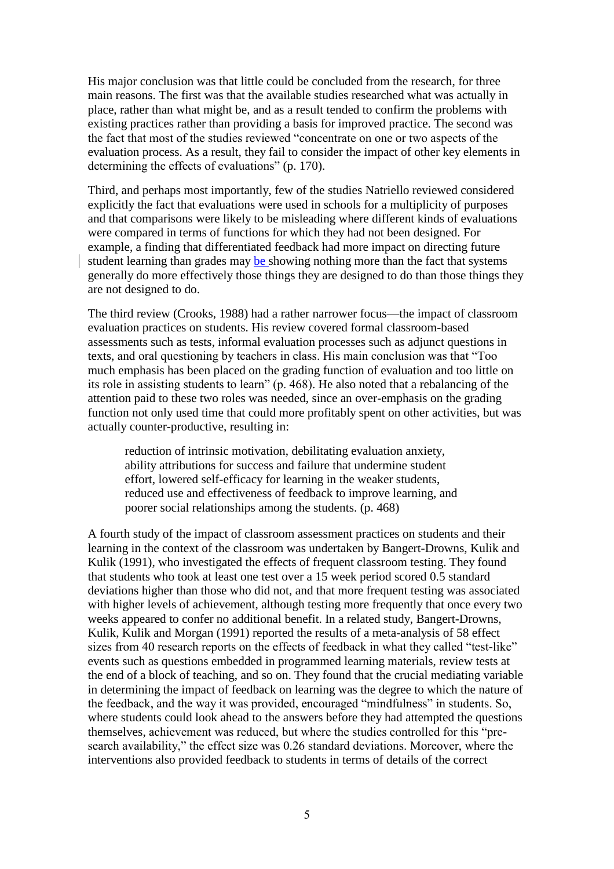His major conclusion was that little could be concluded from the research, for three main reasons. The first was that the available studies researched what was actually in place, rather than what might be, and as a result tended to confirm the problems with existing practices rather than providing a basis for improved practice. The second was the fact that most of the studies reviewed "concentrate on one or two aspects of the evaluation process. As a result, they fail to consider the impact of other key elements in determining the effects of evaluations" (p. 170).

Third, and perhaps most importantly, few of the studies Natriello reviewed considered explicitly the fact that evaluations were used in schools for a multiplicity of purposes and that comparisons were likely to be misleading where different kinds of evaluations were compared in terms of functions for which they had not been designed. For example, a finding that differentiated feedback had more impact on directing future student learning than grades may be showing nothing more than the fact that systems generally do more effectively those things they are designed to do than those things they are not designed to do.

The third review (Crooks, 1988) had a rather narrower focus—the impact of classroom evaluation practices on students. His review covered formal classroom-based assessments such as tests, informal evaluation processes such as adjunct questions in texts, and oral questioning by teachers in class. His main conclusion was that "Too much emphasis has been placed on the grading function of evaluation and too little on its role in assisting students to learn" (p. 468). He also noted that a rebalancing of the attention paid to these two roles was needed, since an over-emphasis on the grading function not only used time that could more profitably spent on other activities, but was actually counter-productive, resulting in:

reduction of intrinsic motivation, debilitating evaluation anxiety, ability attributions for success and failure that undermine student effort, lowered self-efficacy for learning in the weaker students, reduced use and effectiveness of feedback to improve learning, and poorer social relationships among the students. (p. 468)

A fourth study of the impact of classroom assessment practices on students and their learning in the context of the classroom was undertaken by Bangert-Drowns, Kulik and Kulik (1991), who investigated the effects of frequent classroom testing. They found that students who took at least one test over a 15 week period scored 0.5 standard deviations higher than those who did not, and that more frequent testing was associated with higher levels of achievement, although testing more frequently that once every two weeks appeared to confer no additional benefit. In a related study, Bangert-Drowns, Kulik, Kulik and Morgan (1991) reported the results of a meta-analysis of 58 effect sizes from 40 research reports on the effects of feedback in what they called "test-like" events such as questions embedded in programmed learning materials, review tests at the end of a block of teaching, and so on. They found that the crucial mediating variable in determining the impact of feedback on learning was the degree to which the nature of the feedback, and the way it was provided, encouraged "mindfulness" in students. So, where students could look ahead to the answers before they had attempted the questions themselves, achievement was reduced, but where the studies controlled for this "presearch availability," the effect size was 0.26 standard deviations. Moreover, where the interventions also provided feedback to students in terms of details of the correct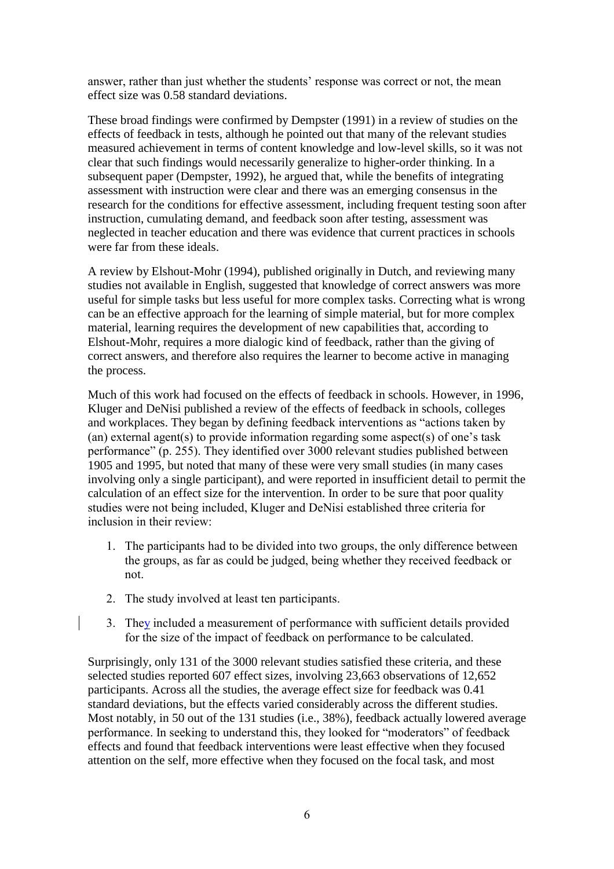answer, rather than just whether the students' response was correct or not, the mean effect size was 0.58 standard deviations.

These broad findings were confirmed by Dempster (1991) in a review of studies on the effects of feedback in tests, although he pointed out that many of the relevant studies measured achievement in terms of content knowledge and low-level skills, so it was not clear that such findings would necessarily generalize to higher-order thinking. In a subsequent paper (Dempster, 1992), he argued that, while the benefits of integrating assessment with instruction were clear and there was an emerging consensus in the research for the conditions for effective assessment, including frequent testing soon after instruction, cumulating demand, and feedback soon after testing, assessment was neglected in teacher education and there was evidence that current practices in schools were far from these ideals.

A review by Elshout-Mohr (1994), published originally in Dutch, and reviewing many studies not available in English, suggested that knowledge of correct answers was more useful for simple tasks but less useful for more complex tasks. Correcting what is wrong can be an effective approach for the learning of simple material, but for more complex material, learning requires the development of new capabilities that, according to Elshout-Mohr, requires a more dialogic kind of feedback, rather than the giving of correct answers, and therefore also requires the learner to become active in managing the process.

Much of this work had focused on the effects of feedback in schools. However, in 1996, Kluger and DeNisi published a review of the effects of feedback in schools, colleges and workplaces. They began by defining feedback interventions as "actions taken by (an) external agent(s) to provide information regarding some aspect(s) of one's task performance" (p. 255). They identified over 3000 relevant studies published between 1905 and 1995, but noted that many of these were very small studies (in many cases involving only a single participant), and were reported in insufficient detail to permit the calculation of an effect size for the intervention. In order to be sure that poor quality studies were not being included, Kluger and DeNisi established three criteria for inclusion in their review:

- 1. The participants had to be divided into two groups, the only difference between the groups, as far as could be judged, being whether they received feedback or not.
- 2. The study involved at least ten participants.
- 3. They included a measurement of performance with sufficient details provided for the size of the impact of feedback on performance to be calculated.

Surprisingly, only 131 of the 3000 relevant studies satisfied these criteria, and these selected studies reported 607 effect sizes, involving 23,663 observations of 12,652 participants. Across all the studies, the average effect size for feedback was 0.41 standard deviations, but the effects varied considerably across the different studies. Most notably, in 50 out of the 131 studies (i.e., 38%), feedback actually lowered average performance. In seeking to understand this, they looked for "moderators" of feedback effects and found that feedback interventions were least effective when they focused attention on the self, more effective when they focused on the focal task, and most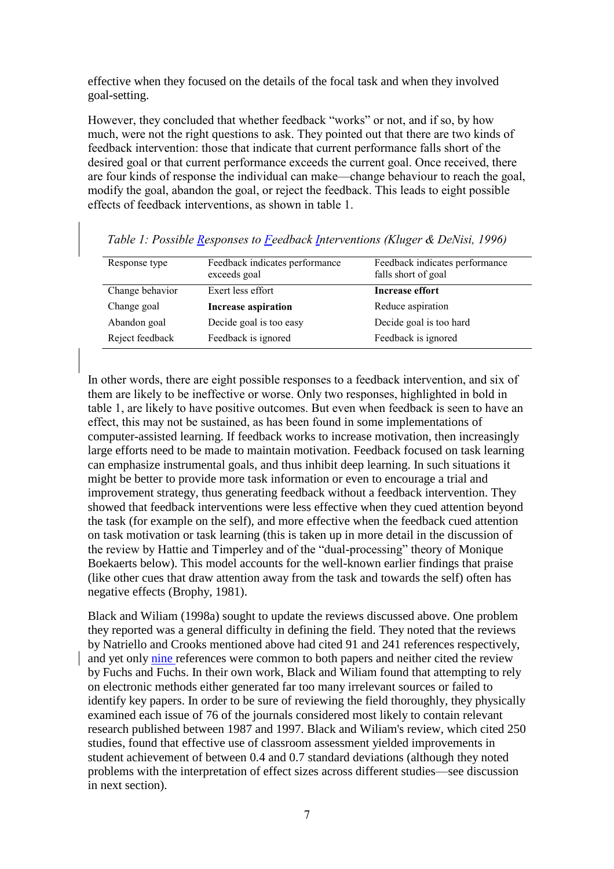effective when they focused on the details of the focal task and when they involved goal-setting.

However, they concluded that whether feedback "works" or not, and if so, by how much, were not the right questions to ask. They pointed out that there are two kinds of feedback intervention: those that indicate that current performance falls short of the desired goal or that current performance exceeds the current goal. Once received, there are four kinds of response the individual can make—change behaviour to reach the goal, modify the goal, abandon the goal, or reject the feedback. This leads to eight possible effects of feedback interventions, as shown in table 1.

| Response type   | Feedback indicates performance<br>exceeds goal | Feedback indicates performance<br>falls short of goal |
|-----------------|------------------------------------------------|-------------------------------------------------------|
| Change behavior | Exert less effort                              | <b>Increase effort</b>                                |
| Change goal     | <b>Increase aspiration</b>                     | Reduce aspiration                                     |
| Abandon goal    | Decide goal is too easy                        | Decide goal is too hard                               |
| Reject feedback | Feedback is ignored                            | Feedback is ignored                                   |

*Table 1: Possible Responses to Feedback Interventions (Kluger & DeNisi, 1996)*

In other words, there are eight possible responses to a feedback intervention, and six of them are likely to be ineffective or worse. Only two responses, highlighted in bold in table 1, are likely to have positive outcomes. But even when feedback is seen to have an effect, this may not be sustained, as has been found in some implementations of computer-assisted learning. If feedback works to increase motivation, then increasingly large efforts need to be made to maintain motivation. Feedback focused on task learning can emphasize instrumental goals, and thus inhibit deep learning. In such situations it might be better to provide more task information or even to encourage a trial and improvement strategy, thus generating feedback without a feedback intervention. They showed that feedback interventions were less effective when they cued attention beyond the task (for example on the self), and more effective when the feedback cued attention on task motivation or task learning (this is taken up in more detail in the discussion of the review by Hattie and Timperley and of the "dual-processing" theory of Monique Boekaerts below). This model accounts for the well-known earlier findings that praise (like other cues that draw attention away from the task and towards the self) often has negative effects (Brophy, 1981).

Black and Wiliam (1998a) sought to update the reviews discussed above. One problem they reported was a general difficulty in defining the field. They noted that the reviews by Natriello and Crooks mentioned above had cited 91 and 241 references respectively, and yet only nine references were common to both papers and neither cited the review by Fuchs and Fuchs. In their own work, Black and Wiliam found that attempting to rely on electronic methods either generated far too many irrelevant sources or failed to identify key papers. In order to be sure of reviewing the field thoroughly, they physically examined each issue of 76 of the journals considered most likely to contain relevant research published between 1987 and 1997. Black and Wiliam's review, which cited 250 studies, found that effective use of classroom assessment yielded improvements in student achievement of between 0.4 and 0.7 standard deviations (although they noted problems with the interpretation of effect sizes across different studies—see discussion in next section).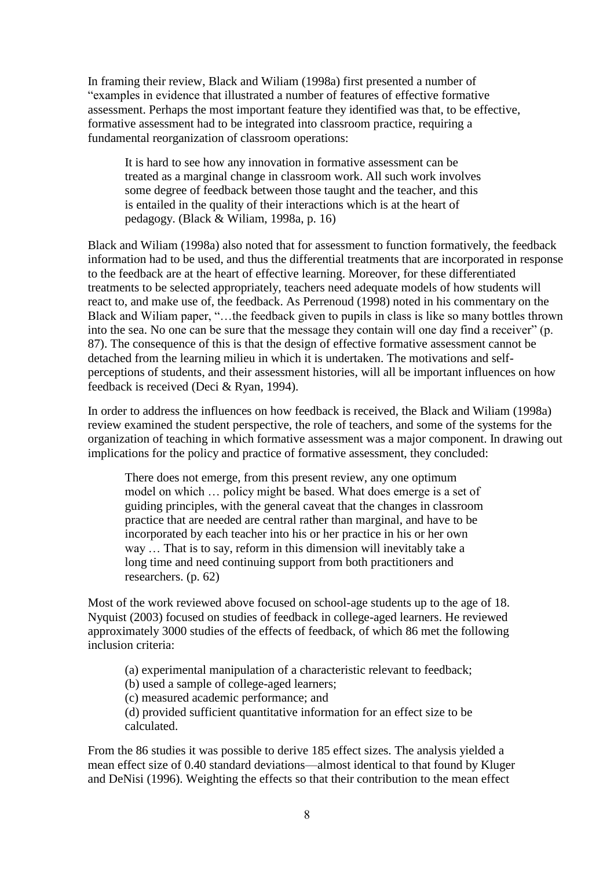In framing their review, Black and Wiliam (1998a) first presented a number of "examples in evidence that illustrated a number of features of effective formative assessment. Perhaps the most important feature they identified was that, to be effective, formative assessment had to be integrated into classroom practice, requiring a fundamental reorganization of classroom operations:

It is hard to see how any innovation in formative assessment can be treated as a marginal change in classroom work. All such work involves some degree of feedback between those taught and the teacher, and this is entailed in the quality of their interactions which is at the heart of pedagogy. (Black & Wiliam, 1998a, p. 16)

Black and Wiliam (1998a) also noted that for assessment to function formatively, the feedback information had to be used, and thus the differential treatments that are incorporated in response to the feedback are at the heart of effective learning. Moreover, for these differentiated treatments to be selected appropriately, teachers need adequate models of how students will react to, and make use of, the feedback. As Perrenoud (1998) noted in his commentary on the Black and Wiliam paper, "…the feedback given to pupils in class is like so many bottles thrown into the sea. No one can be sure that the message they contain will one day find a receiver" (p. 87). The consequence of this is that the design of effective formative assessment cannot be detached from the learning milieu in which it is undertaken. The motivations and selfperceptions of students, and their assessment histories, will all be important influences on how feedback is received (Deci & Ryan, 1994).

In order to address the influences on how feedback is received, the Black and Wiliam (1998a) review examined the student perspective, the role of teachers, and some of the systems for the organization of teaching in which formative assessment was a major component. In drawing out implications for the policy and practice of formative assessment, they concluded:

There does not emerge, from this present review, any one optimum model on which … policy might be based. What does emerge is a set of guiding principles, with the general caveat that the changes in classroom practice that are needed are central rather than marginal, and have to be incorporated by each teacher into his or her practice in his or her own way … That is to say, reform in this dimension will inevitably take a long time and need continuing support from both practitioners and researchers. (p. 62)

Most of the work reviewed above focused on school-age students up to the age of 18. Nyquist (2003) focused on studies of feedback in college-aged learners. He reviewed approximately 3000 studies of the effects of feedback, of which 86 met the following inclusion criteria:

(a) experimental manipulation of a characteristic relevant to feedback;

(b) used a sample of college-aged learners;

(c) measured academic performance; and

(d) provided sufficient quantitative information for an effect size to be calculated.

From the 86 studies it was possible to derive 185 effect sizes. The analysis yielded a mean effect size of 0.40 standard deviations—almost identical to that found by Kluger and DeNisi (1996). Weighting the effects so that their contribution to the mean effect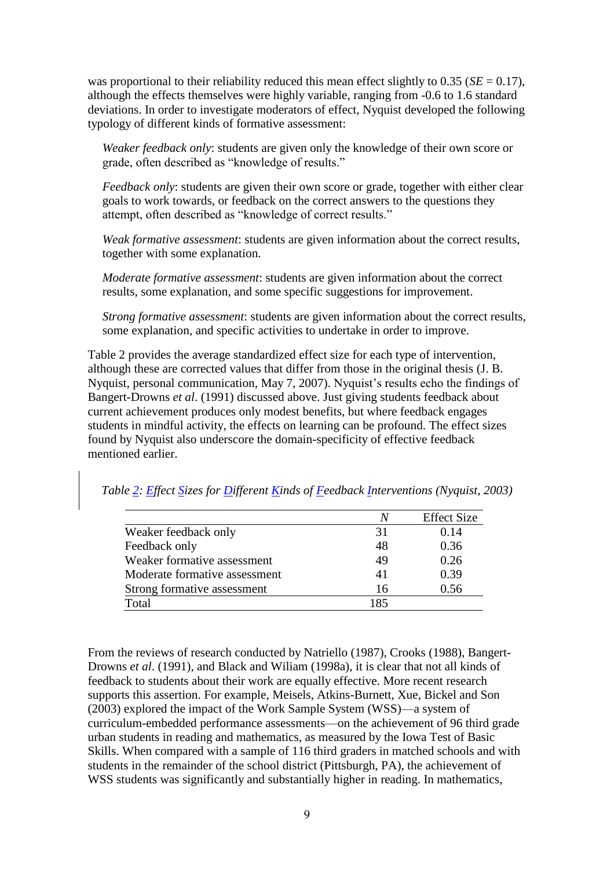was proportional to their reliability reduced this mean effect slightly to  $0.35$  (*SE* = 0.17), although the effects themselves were highly variable, ranging from -0.6 to 1.6 standard deviations. In order to investigate moderators of effect, Nyquist developed the following typology of different kinds of formative assessment:

*Weaker feedback only*: students are given only the knowledge of their own score or grade, often described as "knowledge of results."

*Feedback only*: students are given their own score or grade, together with either clear goals to work towards, or feedback on the correct answers to the questions they attempt, often described as "knowledge of correct results."

*Weak formative assessment*: students are given information about the correct results, together with some explanation.

*Moderate formative assessment*: students are given information about the correct results, some explanation, and some specific suggestions for improvement.

*Strong formative assessment*: students are given information about the correct results, some explanation, and specific activities to undertake in order to improve.

Table 2 provides the average standardized effect size for each type of intervention, although these are corrected values that differ from those in the original thesis (J. B. Nyquist, personal communication, May 7, 2007). Nyquist's results echo the findings of Bangert-Drowns *et al*. (1991) discussed above. Just giving students feedback about current achievement produces only modest benefits, but where feedback engages students in mindful activity, the effects on learning can be profound. The effect sizes found by Nyquist also underscore the domain-specificity of effective feedback mentioned earlier.

*Table 2: Effect Sizes for Different Kinds of Feedback Interventions (Nyquist, 2003)*

|                               | N   | <b>Effect Size</b> |
|-------------------------------|-----|--------------------|
| Weaker feedback only          | 31  | 0.14               |
| Feedback only                 | 48  | 0.36               |
| Weaker formative assessment   | 49  | 0.26               |
| Moderate formative assessment | 41  | 0.39               |
| Strong formative assessment   | 16  | 0.56               |
| Total                         | 185 |                    |

From the reviews of research conducted by Natriello (1987), Crooks (1988), Bangert-Drowns *et al*. (1991), and Black and Wiliam (1998a), it is clear that not all kinds of feedback to students about their work are equally effective. More recent research supports this assertion. For example, Meisels, Atkins-Burnett, Xue, Bickel and Son (2003) explored the impact of the Work Sample System (WSS)—a system of curriculum-embedded performance assessments—on the achievement of 96 third grade urban students in reading and mathematics, as measured by the Iowa Test of Basic Skills. When compared with a sample of 116 third graders in matched schools and with students in the remainder of the school district (Pittsburgh, PA), the achievement of WSS students was significantly and substantially higher in reading. In mathematics,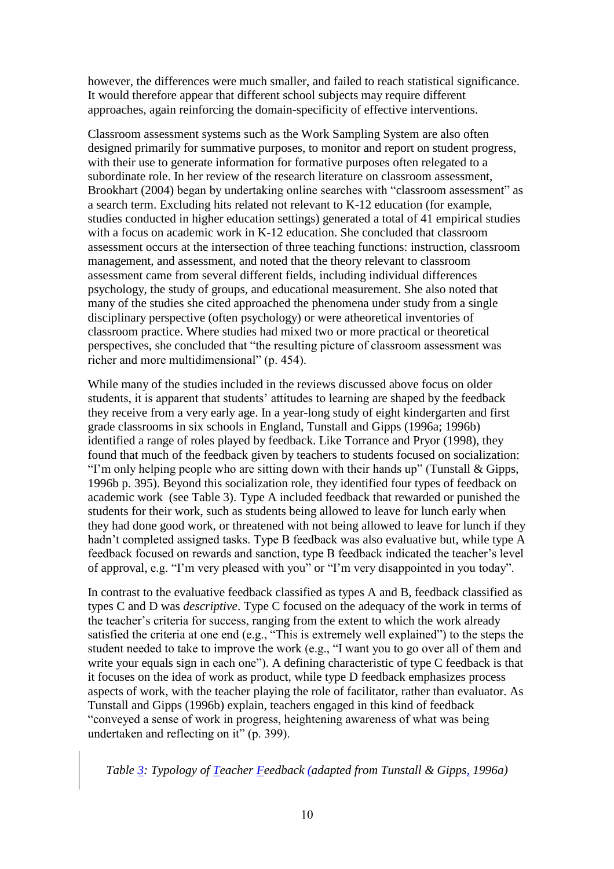however, the differences were much smaller, and failed to reach statistical significance. It would therefore appear that different school subjects may require different approaches, again reinforcing the domain-specificity of effective interventions.

Classroom assessment systems such as the Work Sampling System are also often designed primarily for summative purposes, to monitor and report on student progress, with their use to generate information for formative purposes often relegated to a subordinate role. In her review of the research literature on classroom assessment, Brookhart (2004) began by undertaking online searches with "classroom assessment" as a search term. Excluding hits related not relevant to K-12 education (for example, studies conducted in higher education settings) generated a total of 41 empirical studies with a focus on academic work in K-12 education. She concluded that classroom assessment occurs at the intersection of three teaching functions: instruction, classroom management, and assessment, and noted that the theory relevant to classroom assessment came from several different fields, including individual differences psychology, the study of groups, and educational measurement. She also noted that many of the studies she cited approached the phenomena under study from a single disciplinary perspective (often psychology) or were atheoretical inventories of classroom practice. Where studies had mixed two or more practical or theoretical perspectives, she concluded that "the resulting picture of classroom assessment was richer and more multidimensional" (p. 454).

While many of the studies included in the reviews discussed above focus on older students, it is apparent that students' attitudes to learning are shaped by the feedback they receive from a very early age. In a year-long study of eight kindergarten and first grade classrooms in six schools in England, Tunstall and Gipps (1996a; 1996b) identified a range of roles played by feedback. Like Torrance and Pryor (1998), they found that much of the feedback given by teachers to students focused on socialization: "I'm only helping people who are sitting down with their hands up" (Tunstall & Gipps, 1996b p. 395). Beyond this socialization role, they identified four types of feedback on academic work (see Table 3). Type A included feedback that rewarded or punished the students for their work, such as students being allowed to leave for lunch early when they had done good work, or threatened with not being allowed to leave for lunch if they hadn't completed assigned tasks. Type B feedback was also evaluative but, while type A feedback focused on rewards and sanction, type B feedback indicated the teacher's level of approval, e.g. "I'm very pleased with you" or "I'm very disappointed in you today".

In contrast to the evaluative feedback classified as types A and B, feedback classified as types C and D was *descriptive*. Type C focused on the adequacy of the work in terms of the teacher's criteria for success, ranging from the extent to which the work already satisfied the criteria at one end (e.g., "This is extremely well explained") to the steps the student needed to take to improve the work (e.g., "I want you to go over all of them and write your equals sign in each one"). A defining characteristic of type C feedback is that it focuses on the idea of work as product, while type D feedback emphasizes process aspects of work, with the teacher playing the role of facilitator, rather than evaluator. As Tunstall and Gipps (1996b) explain, teachers engaged in this kind of feedback "conveyed a sense of work in progress, heightening awareness of what was being undertaken and reflecting on it" (p. 399).

*Table 3: Typology of Teacher Feedback (adapted from Tunstall & Gipps, 1996a)*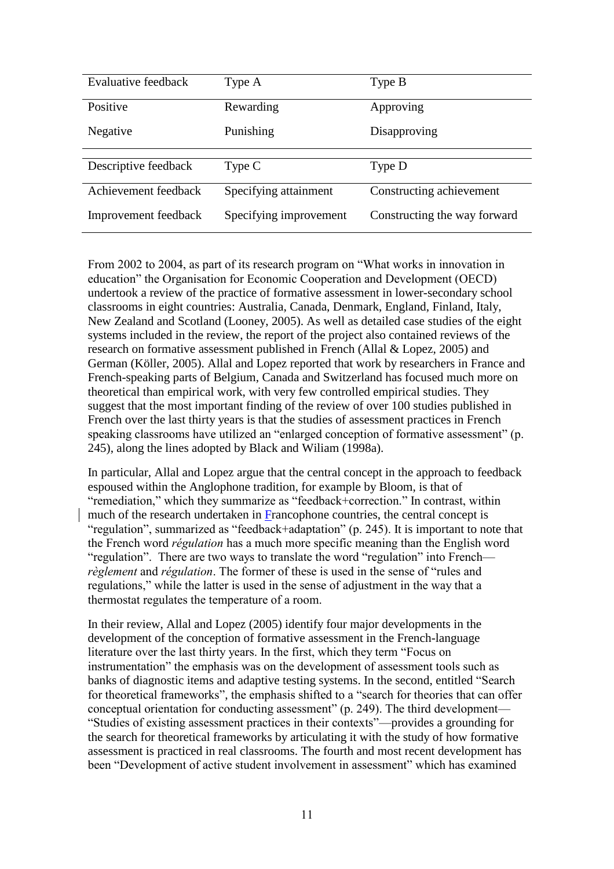| Evaluative feedback  | Type A                 | Type B                       |
|----------------------|------------------------|------------------------------|
| Positive             | Rewarding              | Approving                    |
| Negative             | Punishing              | Disapproving                 |
|                      |                        |                              |
| Descriptive feedback | Type C                 | Type D                       |
| Achievement feedback | Specifying attainment  | Constructing achievement     |
| Improvement feedback | Specifying improvement | Constructing the way forward |

From 2002 to 2004, as part of its research program on "What works in innovation in education" the Organisation for Economic Cooperation and Development (OECD) undertook a review of the practice of formative assessment in lower-secondary school classrooms in eight countries: Australia, Canada, Denmark, England, Finland, Italy, New Zealand and Scotland (Looney, 2005). As well as detailed case studies of the eight systems included in the review, the report of the project also contained reviews of the research on formative assessment published in French (Allal & Lopez, 2005) and German (Köller, 2005). Allal and Lopez reported that work by researchers in France and French-speaking parts of Belgium, Canada and Switzerland has focused much more on theoretical than empirical work, with very few controlled empirical studies. They suggest that the most important finding of the review of over 100 studies published in French over the last thirty years is that the studies of assessment practices in French speaking classrooms have utilized an "enlarged conception of formative assessment" (p. 245), along the lines adopted by Black and Wiliam (1998a).

In particular, Allal and Lopez argue that the central concept in the approach to feedback espoused within the Anglophone tradition, for example by Bloom, is that of "remediation," which they summarize as "feedback+correction." In contrast, within much of the research undertaken in Francophone countries, the central concept is "regulation", summarized as "feedback+adaptation" (p. 245). It is important to note that the French word *régulation* has a much more specific meaning than the English word "regulation". There are two ways to translate the word "regulation" into French *règlement* and *régulation*. The former of these is used in the sense of "rules and regulations," while the latter is used in the sense of adjustment in the way that a thermostat regulates the temperature of a room.

In their review, Allal and Lopez (2005) identify four major developments in the development of the conception of formative assessment in the French-language literature over the last thirty years. In the first, which they term "Focus on instrumentation" the emphasis was on the development of assessment tools such as banks of diagnostic items and adaptive testing systems. In the second, entitled "Search for theoretical frameworks", the emphasis shifted to a "search for theories that can offer conceptual orientation for conducting assessment" (p. 249). The third development— "Studies of existing assessment practices in their contexts"—provides a grounding for the search for theoretical frameworks by articulating it with the study of how formative assessment is practiced in real classrooms. The fourth and most recent development has been "Development of active student involvement in assessment" which has examined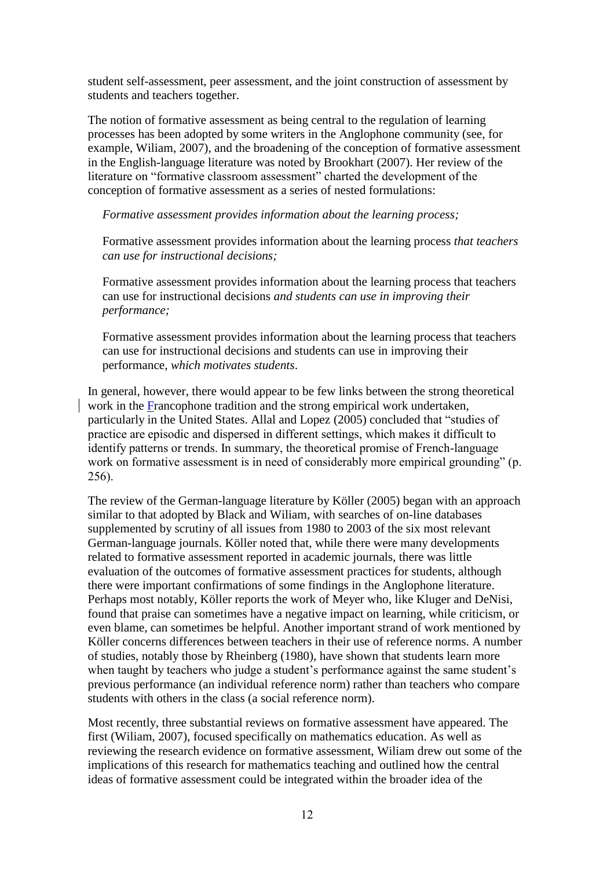student self-assessment, peer assessment, and the joint construction of assessment by students and teachers together.

The notion of formative assessment as being central to the regulation of learning processes has been adopted by some writers in the Anglophone community (see, for example, Wiliam, 2007), and the broadening of the conception of formative assessment in the English-language literature was noted by Brookhart (2007). Her review of the literature on "formative classroom assessment" charted the development of the conception of formative assessment as a series of nested formulations:

*Formative assessment provides information about the learning process;*

Formative assessment provides information about the learning process *that teachers can use for instructional decisions;*

Formative assessment provides information about the learning process that teachers can use for instructional decisions *and students can use in improving their performance;*

Formative assessment provides information about the learning process that teachers can use for instructional decisions and students can use in improving their performance, *which motivates students*.

In general, however, there would appear to be few links between the strong theoretical work in the Francophone tradition and the strong empirical work undertaken, particularly in the United States. Allal and Lopez (2005) concluded that "studies of practice are episodic and dispersed in different settings, which makes it difficult to identify patterns or trends. In summary, the theoretical promise of French-language work on formative assessment is in need of considerably more empirical grounding" (p. 256).

The review of the German-language literature by Köller (2005) began with an approach similar to that adopted by Black and Wiliam, with searches of on-line databases supplemented by scrutiny of all issues from 1980 to 2003 of the six most relevant German-language journals. Köller noted that, while there were many developments related to formative assessment reported in academic journals, there was little evaluation of the outcomes of formative assessment practices for students, although there were important confirmations of some findings in the Anglophone literature. Perhaps most notably, Köller reports the work of Meyer who, like Kluger and DeNisi, found that praise can sometimes have a negative impact on learning, while criticism, or even blame, can sometimes be helpful. Another important strand of work mentioned by Köller concerns differences between teachers in their use of reference norms. A number of studies, notably those by Rheinberg (1980), have shown that students learn more when taught by teachers who judge a student's performance against the same student's previous performance (an individual reference norm) rather than teachers who compare students with others in the class (a social reference norm).

Most recently, three substantial reviews on formative assessment have appeared. The first (Wiliam, 2007), focused specifically on mathematics education. As well as reviewing the research evidence on formative assessment, Wiliam drew out some of the implications of this research for mathematics teaching and outlined how the central ideas of formative assessment could be integrated within the broader idea of the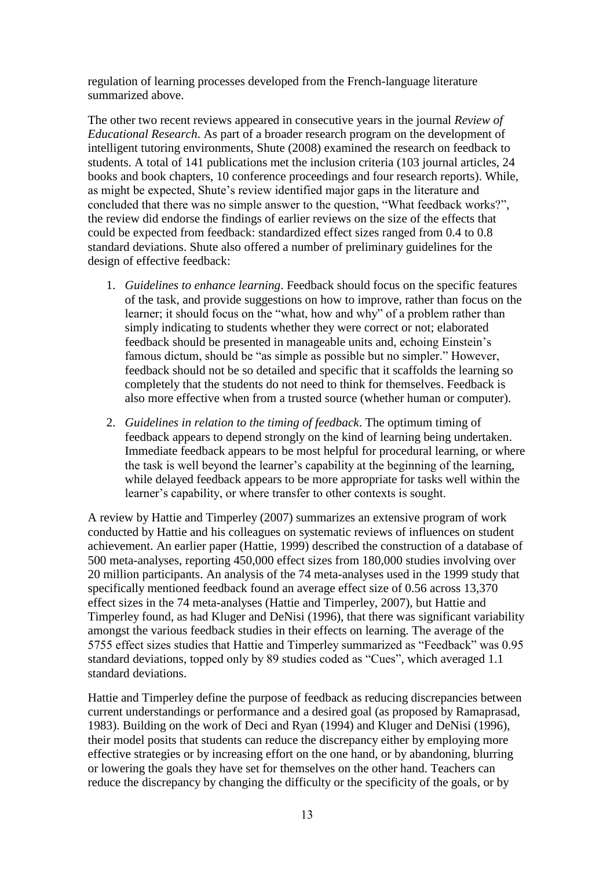regulation of learning processes developed from the French-language literature summarized above.

The other two recent reviews appeared in consecutive years in the journal *Review of Educational Research*. As part of a broader research program on the development of intelligent tutoring environments, Shute (2008) examined the research on feedback to students. A total of 141 publications met the inclusion criteria (103 journal articles, 24 books and book chapters, 10 conference proceedings and four research reports). While, as might be expected, Shute's review identified major gaps in the literature and concluded that there was no simple answer to the question, "What feedback works?", the review did endorse the findings of earlier reviews on the size of the effects that could be expected from feedback: standardized effect sizes ranged from 0.4 to 0.8 standard deviations. Shute also offered a number of preliminary guidelines for the design of effective feedback:

- 1. *Guidelines to enhance learning*. Feedback should focus on the specific features of the task, and provide suggestions on how to improve, rather than focus on the learner; it should focus on the "what, how and why" of a problem rather than simply indicating to students whether they were correct or not; elaborated feedback should be presented in manageable units and, echoing Einstein's famous dictum, should be "as simple as possible but no simpler." However, feedback should not be so detailed and specific that it scaffolds the learning so completely that the students do not need to think for themselves. Feedback is also more effective when from a trusted source (whether human or computer).
- 2. *Guidelines in relation to the timing of feedback*. The optimum timing of feedback appears to depend strongly on the kind of learning being undertaken. Immediate feedback appears to be most helpful for procedural learning, or where the task is well beyond the learner's capability at the beginning of the learning, while delayed feedback appears to be more appropriate for tasks well within the learner's capability, or where transfer to other contexts is sought.

A review by Hattie and Timperley (2007) summarizes an extensive program of work conducted by Hattie and his colleagues on systematic reviews of influences on student achievement. An earlier paper (Hattie, 1999) described the construction of a database of 500 meta-analyses, reporting 450,000 effect sizes from 180,000 studies involving over 20 million participants. An analysis of the 74 meta-analyses used in the 1999 study that specifically mentioned feedback found an average effect size of 0.56 across 13,370 effect sizes in the 74 meta-analyses (Hattie and Timperley, 2007), but Hattie and Timperley found, as had Kluger and DeNisi (1996), that there was significant variability amongst the various feedback studies in their effects on learning. The average of the 5755 effect sizes studies that Hattie and Timperley summarized as "Feedback" was 0.95 standard deviations, topped only by 89 studies coded as "Cues", which averaged 1.1 standard deviations.

Hattie and Timperley define the purpose of feedback as reducing discrepancies between current understandings or performance and a desired goal (as proposed by Ramaprasad, 1983). Building on the work of Deci and Ryan (1994) and Kluger and DeNisi (1996), their model posits that students can reduce the discrepancy either by employing more effective strategies or by increasing effort on the one hand, or by abandoning, blurring or lowering the goals they have set for themselves on the other hand. Teachers can reduce the discrepancy by changing the difficulty or the specificity of the goals, or by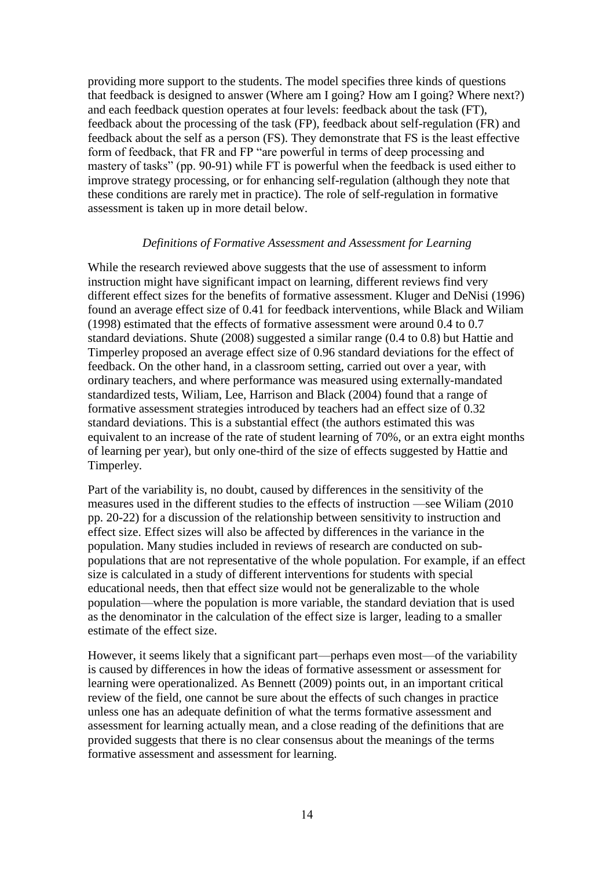providing more support to the students. The model specifies three kinds of questions that feedback is designed to answer (Where am I going? How am I going? Where next?) and each feedback question operates at four levels: feedback about the task (FT), feedback about the processing of the task (FP), feedback about self-regulation (FR) and feedback about the self as a person (FS). They demonstrate that FS is the least effective form of feedback, that FR and FP "are powerful in terms of deep processing and mastery of tasks" (pp. 90-91) while FT is powerful when the feedback is used either to improve strategy processing, or for enhancing self-regulation (although they note that these conditions are rarely met in practice). The role of self-regulation in formative assessment is taken up in more detail below.

# *Definitions of Formative Assessment and Assessment for Learning*

While the research reviewed above suggests that the use of assessment to inform instruction might have significant impact on learning, different reviews find very different effect sizes for the benefits of formative assessment. Kluger and DeNisi (1996) found an average effect size of 0.41 for feedback interventions, while Black and Wiliam (1998) estimated that the effects of formative assessment were around 0.4 to 0.7 standard deviations. Shute (2008) suggested a similar range (0.4 to 0.8) but Hattie and Timperley proposed an average effect size of 0.96 standard deviations for the effect of feedback. On the other hand, in a classroom setting, carried out over a year, with ordinary teachers, and where performance was measured using externally-mandated standardized tests, Wiliam, Lee, Harrison and Black (2004) found that a range of formative assessment strategies introduced by teachers had an effect size of 0.32 standard deviations. This is a substantial effect (the authors estimated this was equivalent to an increase of the rate of student learning of 70%, or an extra eight months of learning per year), but only one-third of the size of effects suggested by Hattie and Timperley.

Part of the variability is, no doubt, caused by differences in the sensitivity of the measures used in the different studies to the effects of instruction —see Wiliam (2010 pp. 20-22) for a discussion of the relationship between sensitivity to instruction and effect size. Effect sizes will also be affected by differences in the variance in the population. Many studies included in reviews of research are conducted on subpopulations that are not representative of the whole population. For example, if an effect size is calculated in a study of different interventions for students with special educational needs, then that effect size would not be generalizable to the whole population—where the population is more variable, the standard deviation that is used as the denominator in the calculation of the effect size is larger, leading to a smaller estimate of the effect size.

However, it seems likely that a significant part—perhaps even most—of the variability is caused by differences in how the ideas of formative assessment or assessment for learning were operationalized. As Bennett (2009) points out, in an important critical review of the field, one cannot be sure about the effects of such changes in practice unless one has an adequate definition of what the terms formative assessment and assessment for learning actually mean, and a close reading of the definitions that are provided suggests that there is no clear consensus about the meanings of the terms formative assessment and assessment for learning.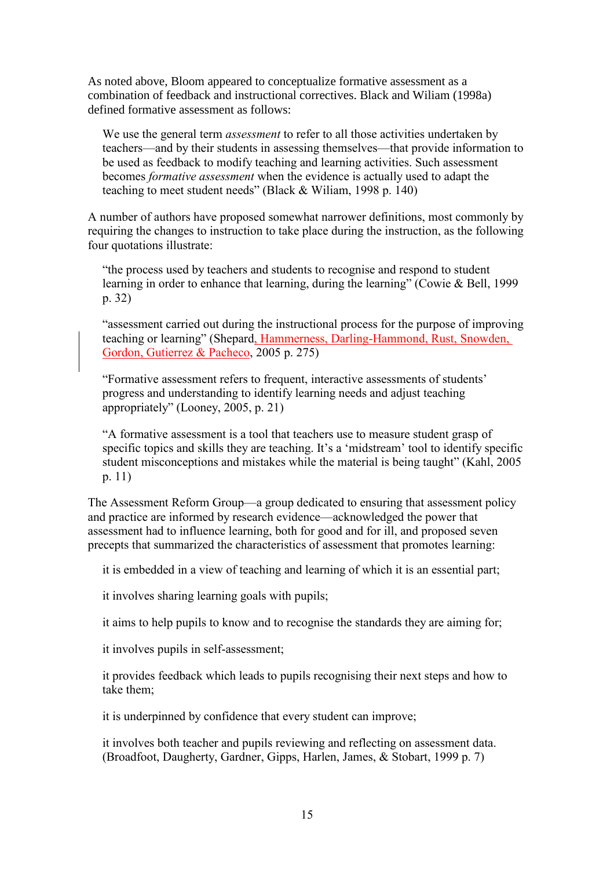As noted above, Bloom appeared to conceptualize formative assessment as a combination of feedback and instructional correctives. Black and Wiliam (1998a) defined formative assessment as follows:

We use the general term *assessment* to refer to all those activities undertaken by teachers—and by their students in assessing themselves—that provide information to be used as feedback to modify teaching and learning activities. Such assessment becomes *formative assessment* when the evidence is actually used to adapt the teaching to meet student needs" (Black & Wiliam, 1998 p. 140)

A number of authors have proposed somewhat narrower definitions, most commonly by requiring the changes to instruction to take place during the instruction, as the following four quotations illustrate:

"the process used by teachers and students to recognise and respond to student learning in order to enhance that learning, during the learning" (Cowie & Bell, 1999 p. 32)

"assessment carried out during the instructional process for the purpose of improving teaching or learning" (Shepard, Hammerness, Darling-Hammond, Rust, Snowden, Gordon, Gutierrez & Pacheco, 2005 p. 275)

"Formative assessment refers to frequent, interactive assessments of students" progress and understanding to identify learning needs and adjust teaching appropriately" (Looney, 2005, p. 21)

"A formative assessment is a tool that teachers use to measure student grasp of specific topics and skills they are teaching. It's a 'midstream' tool to identify specific student misconceptions and mistakes while the material is being taught" (Kahl, 2005 p. 11)

The Assessment Reform Group—a group dedicated to ensuring that assessment policy and practice are informed by research evidence—acknowledged the power that assessment had to influence learning, both for good and for ill, and proposed seven precepts that summarized the characteristics of assessment that promotes learning:

it is embedded in a view of teaching and learning of which it is an essential part;

it involves sharing learning goals with pupils;

it aims to help pupils to know and to recognise the standards they are aiming for;

it involves pupils in self-assessment;

it provides feedback which leads to pupils recognising their next steps and how to take them;

it is underpinned by confidence that every student can improve;

it involves both teacher and pupils reviewing and reflecting on assessment data. (Broadfoot, Daugherty, Gardner, Gipps, Harlen, James, & Stobart, 1999 p. 7)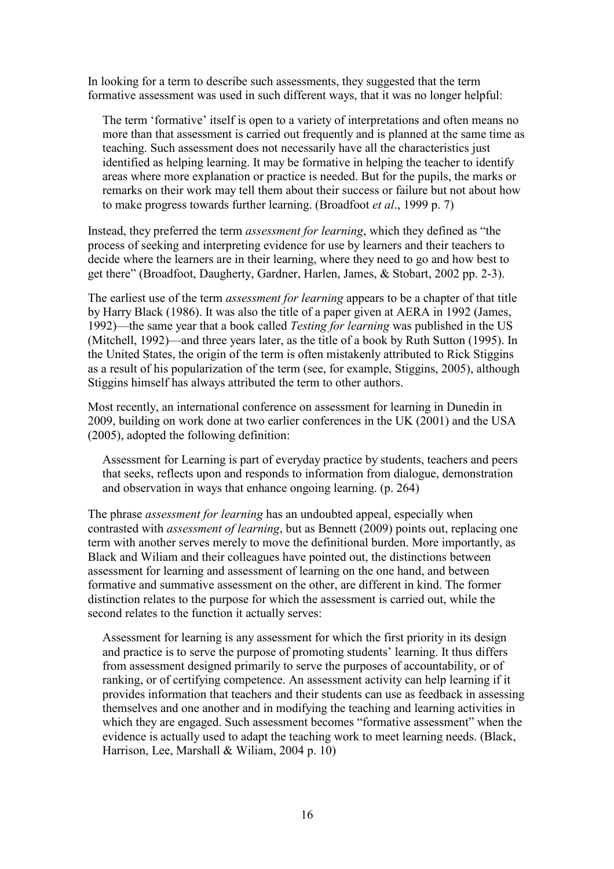In looking for a term to describe such assessments, they suggested that the term formative assessment was used in such different ways, that it was no longer helpful:

The term 'formative' itself is open to a variety of interpretations and often means no more than that assessment is carried out frequently and is planned at the same time as teaching. Such assessment does not necessarily have all the characteristics just identified as helping learning. It may be formative in helping the teacher to identify areas where more explanation or practice is needed. But for the pupils, the marks or remarks on their work may tell them about their success or failure but not about how to make progress towards further learning. (Broadfoot *et al*., 1999 p. 7)

Instead, they preferred the term *assessment for learning*, which they defined as "the process of seeking and interpreting evidence for use by learners and their teachers to decide where the learners are in their learning, where they need to go and how best to get there" (Broadfoot, Daugherty, Gardner, Harlen, James, & Stobart, 2002 pp. 2-3).

The earliest use of the term *assessment for learning* appears to be a chapter of that title by Harry Black (1986). It was also the title of a paper given at AERA in 1992 (James, 1992)—the same year that a book called *Testing for learning* was published in the US (Mitchell, 1992)—and three years later, as the title of a book by Ruth Sutton (1995). In the United States, the origin of the term is often mistakenly attributed to Rick Stiggins as a result of his popularization of the term (see, for example, Stiggins, 2005), although Stiggins himself has always attributed the term to other authors.

Most recently, an international conference on assessment for learning in Dunedin in 2009, building on work done at two earlier conferences in the UK (2001) and the USA (2005), adopted the following definition:

Assessment for Learning is part of everyday practice by students, teachers and peers that seeks, reflects upon and responds to information from dialogue, demonstration and observation in ways that enhance ongoing learning. (p. 264)

The phrase *assessment for learning* has an undoubted appeal, especially when contrasted with *assessment of learning*, but as Bennett (2009) points out, replacing one term with another serves merely to move the definitional burden. More importantly, as Black and Wiliam and their colleagues have pointed out, the distinctions between assessment for learning and assessment of learning on the one hand, and between formative and summative assessment on the other, are different in kind. The former distinction relates to the purpose for which the assessment is carried out, while the second relates to the function it actually serves:

Assessment for learning is any assessment for which the first priority in its design and practice is to serve the purpose of promoting students' learning. It thus differs from assessment designed primarily to serve the purposes of accountability, or of ranking, or of certifying competence. An assessment activity can help learning if it provides information that teachers and their students can use as feedback in assessing themselves and one another and in modifying the teaching and learning activities in which they are engaged. Such assessment becomes "formative assessment" when the evidence is actually used to adapt the teaching work to meet learning needs. (Black, Harrison, Lee, Marshall & Wiliam, 2004 p. 10)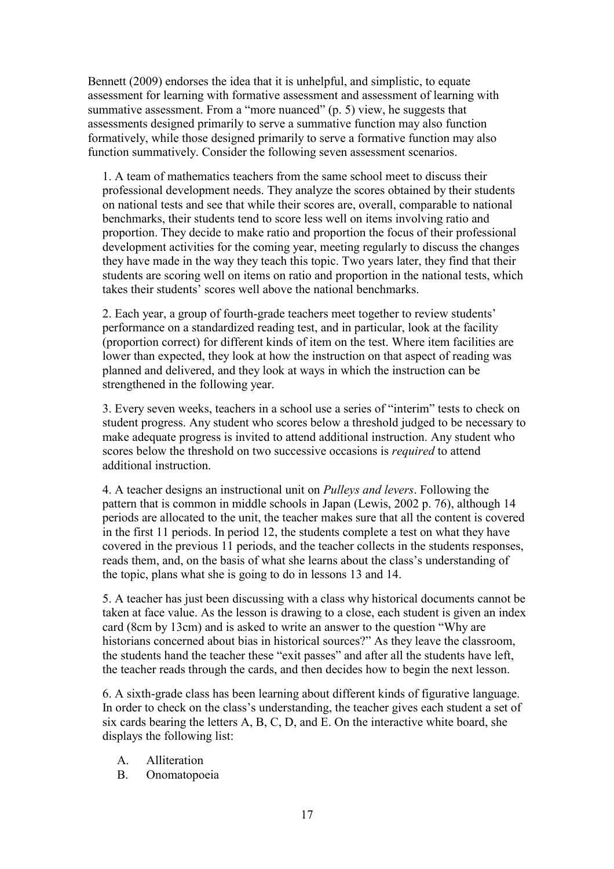Bennett (2009) endorses the idea that it is unhelpful, and simplistic, to equate assessment for learning with formative assessment and assessment of learning with summative assessment. From a "more nuanced" (p. 5) view, he suggests that assessments designed primarily to serve a summative function may also function formatively, while those designed primarily to serve a formative function may also function summatively. Consider the following seven assessment scenarios.

1. A team of mathematics teachers from the same school meet to discuss their professional development needs. They analyze the scores obtained by their students on national tests and see that while their scores are, overall, comparable to national benchmarks, their students tend to score less well on items involving ratio and proportion. They decide to make ratio and proportion the focus of their professional development activities for the coming year, meeting regularly to discuss the changes they have made in the way they teach this topic. Two years later, they find that their students are scoring well on items on ratio and proportion in the national tests, which takes their students" scores well above the national benchmarks.

2. Each year, a group of fourth-grade teachers meet together to review students" performance on a standardized reading test, and in particular, look at the facility (proportion correct) for different kinds of item on the test. Where item facilities are lower than expected, they look at how the instruction on that aspect of reading was planned and delivered, and they look at ways in which the instruction can be strengthened in the following year.

3. Every seven weeks, teachers in a school use a series of "interim" tests to check on student progress. Any student who scores below a threshold judged to be necessary to make adequate progress is invited to attend additional instruction. Any student who scores below the threshold on two successive occasions is *required* to attend additional instruction.

4. A teacher designs an instructional unit on *Pulleys and levers*. Following the pattern that is common in middle schools in Japan (Lewis, 2002 p. 76), although 14 periods are allocated to the unit, the teacher makes sure that all the content is covered in the first 11 periods. In period 12, the students complete a test on what they have covered in the previous 11 periods, and the teacher collects in the students responses, reads them, and, on the basis of what she learns about the class"s understanding of the topic, plans what she is going to do in lessons 13 and 14.

5. A teacher has just been discussing with a class why historical documents cannot be taken at face value. As the lesson is drawing to a close, each student is given an index card (8cm by 13cm) and is asked to write an answer to the question "Why are historians concerned about bias in historical sources?" As they leave the classroom, the students hand the teacher these "exit passes" and after all the students have left, the teacher reads through the cards, and then decides how to begin the next lesson.

6. A sixth-grade class has been learning about different kinds of figurative language. In order to check on the class's understanding, the teacher gives each student a set of six cards bearing the letters A, B, C, D, and E. On the interactive white board, she displays the following list:

- A. Alliteration
- B. Onomatopoeia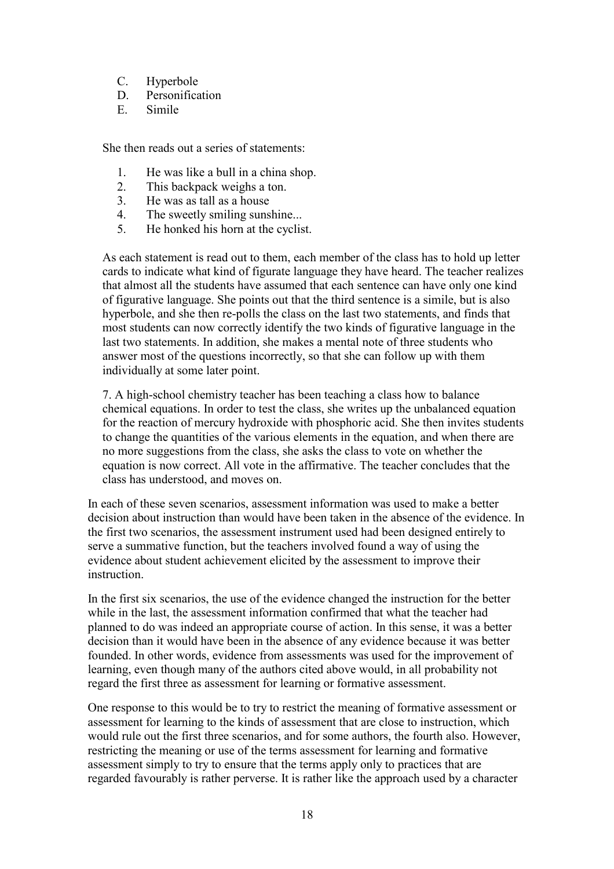- C. Hyperbole
- D. Personification<br>E. Simile
- **Simile**

She then reads out a series of statements:

- 1. He was like a bull in a china shop.<br>2. This backpack weighs a ton.
- This backpack weighs a ton.
- 3. He was as tall as a house
- 4. The sweetly smiling sunshine...
- 5. He honked his horn at the cyclist.

As each statement is read out to them, each member of the class has to hold up letter cards to indicate what kind of figurate language they have heard. The teacher realizes that almost all the students have assumed that each sentence can have only one kind of figurative language. She points out that the third sentence is a simile, but is also hyperbole, and she then re-polls the class on the last two statements, and finds that most students can now correctly identify the two kinds of figurative language in the last two statements. In addition, she makes a mental note of three students who answer most of the questions incorrectly, so that she can follow up with them individually at some later point.

7. A high-school chemistry teacher has been teaching a class how to balance chemical equations. In order to test the class, she writes up the unbalanced equation for the reaction of mercury hydroxide with phosphoric acid. She then invites students to change the quantities of the various elements in the equation, and when there are no more suggestions from the class, she asks the class to vote on whether the equation is now correct. All vote in the affirmative. The teacher concludes that the class has understood, and moves on.

In each of these seven scenarios, assessment information was used to make a better decision about instruction than would have been taken in the absence of the evidence. In the first two scenarios, the assessment instrument used had been designed entirely to serve a summative function, but the teachers involved found a way of using the evidence about student achievement elicited by the assessment to improve their instruction.

In the first six scenarios, the use of the evidence changed the instruction for the better while in the last, the assessment information confirmed that what the teacher had planned to do was indeed an appropriate course of action. In this sense, it was a better decision than it would have been in the absence of any evidence because it was better founded. In other words, evidence from assessments was used for the improvement of learning, even though many of the authors cited above would, in all probability not regard the first three as assessment for learning or formative assessment.

One response to this would be to try to restrict the meaning of formative assessment or assessment for learning to the kinds of assessment that are close to instruction, which would rule out the first three scenarios, and for some authors, the fourth also. However, restricting the meaning or use of the terms assessment for learning and formative assessment simply to try to ensure that the terms apply only to practices that are regarded favourably is rather perverse. It is rather like the approach used by a character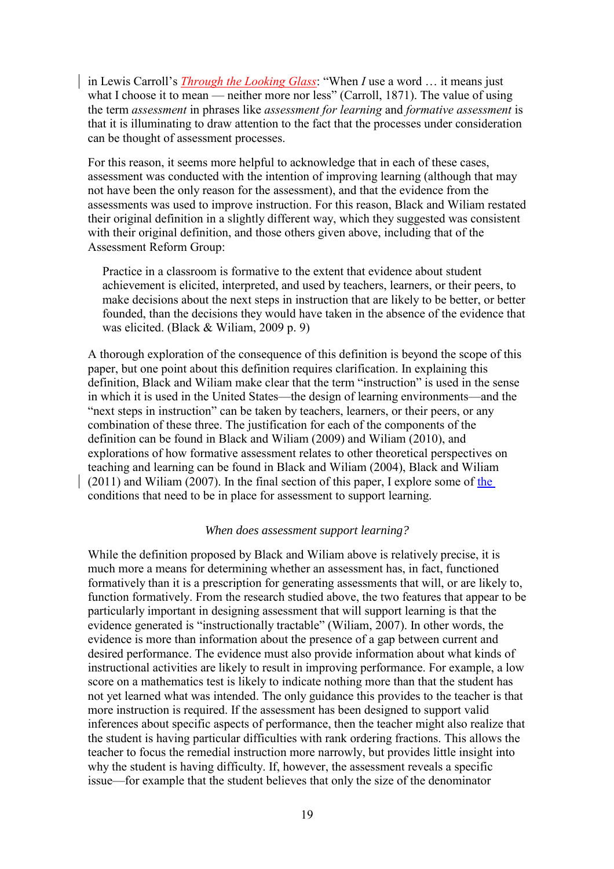in Lewis Carroll"s *Through the Looking Glass*: "When *I* use a word … it means just what I choose it to mean — neither more nor less" (Carroll, 1871). The value of using the term *assessment* in phrases like *assessment for learning* and *formative assessment* is that it is illuminating to draw attention to the fact that the processes under consideration can be thought of assessment processes.

For this reason, it seems more helpful to acknowledge that in each of these cases, assessment was conducted with the intention of improving learning (although that may not have been the only reason for the assessment), and that the evidence from the assessments was used to improve instruction. For this reason, Black and Wiliam restated their original definition in a slightly different way, which they suggested was consistent with their original definition, and those others given above, including that of the Assessment Reform Group:

Practice in a classroom is formative to the extent that evidence about student achievement is elicited, interpreted, and used by teachers, learners, or their peers, to make decisions about the next steps in instruction that are likely to be better, or better founded, than the decisions they would have taken in the absence of the evidence that was elicited. (Black & Wiliam, 2009 p. 9)

A thorough exploration of the consequence of this definition is beyond the scope of this paper, but one point about this definition requires clarification. In explaining this definition, Black and Wiliam make clear that the term "instruction" is used in the sense in which it is used in the United States—the design of learning environments—and the "next steps in instruction" can be taken by teachers, learners, or their peers, or any combination of these three. The justification for each of the components of the definition can be found in Black and Wiliam (2009) and Wiliam (2010), and explorations of how formative assessment relates to other theoretical perspectives on teaching and learning can be found in Black and Wiliam (2004), Black and Wiliam (2011) and Wiliam (2007). In the final section of this paper, I explore some of the conditions that need to be in place for assessment to support learning.

### *When does assessment support learning?*

While the definition proposed by Black and Wiliam above is relatively precise, it is much more a means for determining whether an assessment has, in fact, functioned formatively than it is a prescription for generating assessments that will, or are likely to, function formatively. From the research studied above, the two features that appear to be particularly important in designing assessment that will support learning is that the evidence generated is "instructionally tractable" (Wiliam, 2007). In other words, the evidence is more than information about the presence of a gap between current and desired performance. The evidence must also provide information about what kinds of instructional activities are likely to result in improving performance. For example, a low score on a mathematics test is likely to indicate nothing more than that the student has not yet learned what was intended. The only guidance this provides to the teacher is that more instruction is required. If the assessment has been designed to support valid inferences about specific aspects of performance, then the teacher might also realize that the student is having particular difficulties with rank ordering fractions. This allows the teacher to focus the remedial instruction more narrowly, but provides little insight into why the student is having difficulty. If, however, the assessment reveals a specific issue—for example that the student believes that only the size of the denominator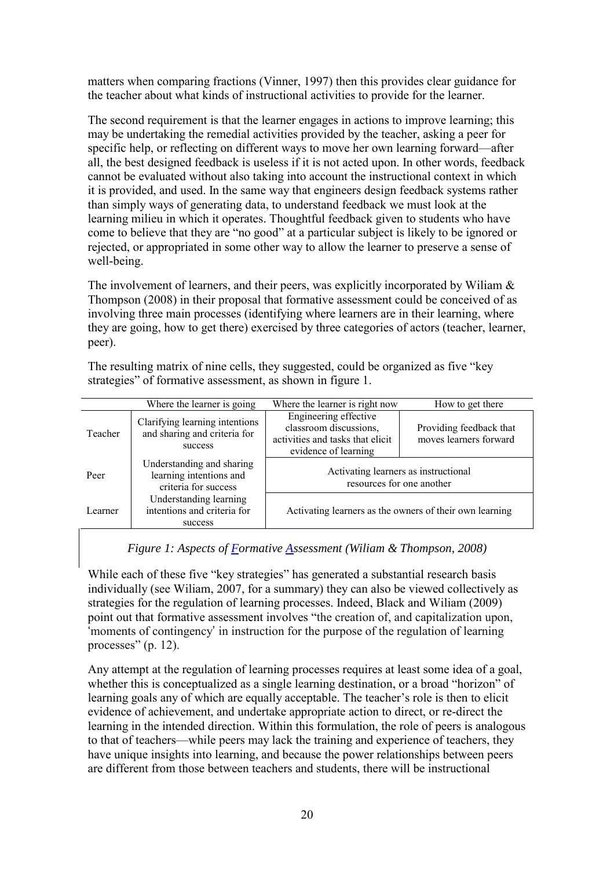matters when comparing fractions (Vinner, 1997) then this provides clear guidance for the teacher about what kinds of instructional activities to provide for the learner.

The second requirement is that the learner engages in actions to improve learning; this may be undertaking the remedial activities provided by the teacher, asking a peer for specific help, or reflecting on different ways to move her own learning forward—after all, the best designed feedback is useless if it is not acted upon. In other words, feedback cannot be evaluated without also taking into account the instructional context in which it is provided, and used. In the same way that engineers design feedback systems rather than simply ways of generating data, to understand feedback we must look at the learning milieu in which it operates. Thoughtful feedback given to students who have come to believe that they are "no good" at a particular subject is likely to be ignored or rejected, or appropriated in some other way to allow the learner to preserve a sense of well-being.

The involvement of learners, and their peers, was explicitly incorporated by Wiliam & Thompson (2008) in their proposal that formative assessment could be conceived of as involving three main processes (identifying where learners are in their learning, where they are going, how to get there) exercised by three categories of actors (teacher, learner, peer).

The resulting matrix of nine cells, they suggested, could be organized as five "key strategies" of formative assessment, as shown in figure 1.

|         | Where the learner is going                                                   | Where the learner is right now                                                                              | How to get there                                  |
|---------|------------------------------------------------------------------------------|-------------------------------------------------------------------------------------------------------------|---------------------------------------------------|
| Teacher | Clarifying learning intentions<br>and sharing and criteria for<br>success    | Engineering effective<br>classroom discussions,<br>activities and tasks that elicit<br>evidence of learning | Providing feedback that<br>moves learners forward |
| Peer    | Understanding and sharing<br>learning intentions and<br>criteria for success | Activating learners as instructional<br>resources for one another                                           |                                                   |
| Learner | Understanding learning<br>intentions and criteria for<br>success             | Activating learners as the owners of their own learning                                                     |                                                   |

*Figure 1: Aspects of Formative Assessment (Wiliam & Thompson, 2008)*

While each of these five "key strategies" has generated a substantial research basis individually (see Wiliam, 2007, for a summary) they can also be viewed collectively as strategies for the regulation of learning processes. Indeed, Black and Wiliam (2009) point out that formative assessment involves "the creation of, and capitalization upon, 'moments of contingency' in instruction for the purpose of the regulation of learning processes" (p. 12).

Any attempt at the regulation of learning processes requires at least some idea of a goal, whether this is conceptualized as a single learning destination, or a broad "horizon" of learning goals any of which are equally acceptable. The teacher's role is then to elicit evidence of achievement, and undertake appropriate action to direct, or re-direct the learning in the intended direction. Within this formulation, the role of peers is analogous to that of teachers—while peers may lack the training and experience of teachers, they have unique insights into learning, and because the power relationships between peers are different from those between teachers and students, there will be instructional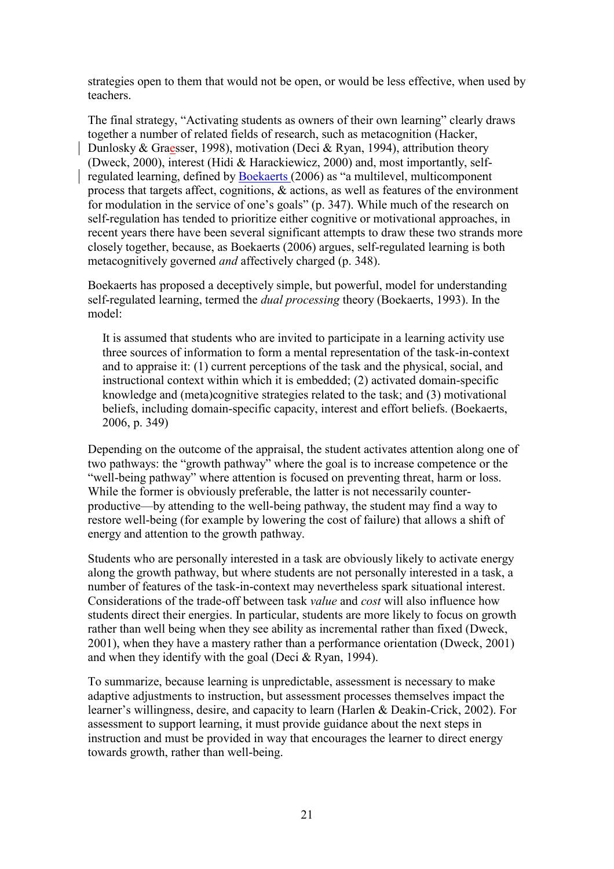strategies open to them that would not be open, or would be less effective, when used by teachers.

The final strategy, "Activating students as owners of their own learning" clearly draws together a number of related fields of research, such as metacognition (Hacker, Dunlosky & Graesser, 1998), motivation (Deci & Ryan, 1994), attribution theory (Dweck, 2000), interest (Hidi & Harackiewicz, 2000) and, most importantly, selfregulated learning, defined by Boekaerts (2006) as "a multilevel, multicomponent process that targets affect, cognitions, & actions, as well as features of the environment for modulation in the service of one's goals" (p. 347). While much of the research on self-regulation has tended to prioritize either cognitive or motivational approaches, in recent years there have been several significant attempts to draw these two strands more closely together, because, as Boekaerts (2006) argues, self-regulated learning is both metacognitively governed *and* affectively charged (p. 348).

Boekaerts has proposed a deceptively simple, but powerful, model for understanding self-regulated learning, termed the *dual processing* theory (Boekaerts, 1993). In the model:

It is assumed that students who are invited to participate in a learning activity use three sources of information to form a mental representation of the task-in-context and to appraise it: (1) current perceptions of the task and the physical, social, and instructional context within which it is embedded; (2) activated domain-specific knowledge and (meta)cognitive strategies related to the task; and (3) motivational beliefs, including domain-specific capacity, interest and effort beliefs. (Boekaerts, 2006, p. 349)

Depending on the outcome of the appraisal, the student activates attention along one of two pathways: the "growth pathway" where the goal is to increase competence or the "well-being pathway" where attention is focused on preventing threat, harm or loss. While the former is obviously preferable, the latter is not necessarily counterproductive—by attending to the well-being pathway, the student may find a way to restore well-being (for example by lowering the cost of failure) that allows a shift of energy and attention to the growth pathway.

Students who are personally interested in a task are obviously likely to activate energy along the growth pathway, but where students are not personally interested in a task, a number of features of the task-in-context may nevertheless spark situational interest. Considerations of the trade-off between task *value* and *cost* will also influence how students direct their energies. In particular, students are more likely to focus on growth rather than well being when they see ability as incremental rather than fixed (Dweck, 2001), when they have a mastery rather than a performance orientation (Dweck, 2001) and when they identify with the goal (Deci & Ryan, 1994).

To summarize, because learning is unpredictable, assessment is necessary to make adaptive adjustments to instruction, but assessment processes themselves impact the learner's willingness, desire, and capacity to learn (Harlen & Deakin-Crick, 2002). For assessment to support learning, it must provide guidance about the next steps in instruction and must be provided in way that encourages the learner to direct energy towards growth, rather than well-being.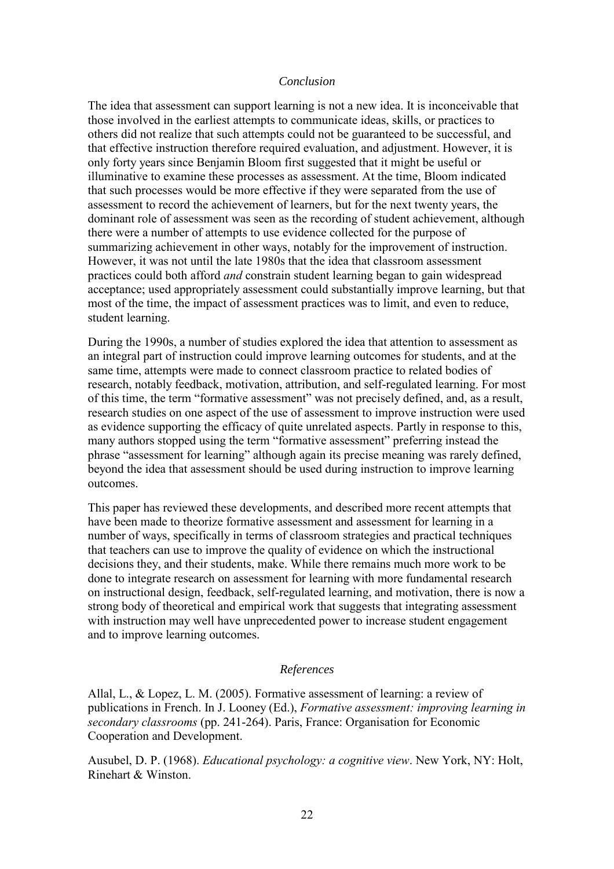### *Conclusion*

The idea that assessment can support learning is not a new idea. It is inconceivable that those involved in the earliest attempts to communicate ideas, skills, or practices to others did not realize that such attempts could not be guaranteed to be successful, and that effective instruction therefore required evaluation, and adjustment. However, it is only forty years since Benjamin Bloom first suggested that it might be useful or illuminative to examine these processes as assessment. At the time, Bloom indicated that such processes would be more effective if they were separated from the use of assessment to record the achievement of learners, but for the next twenty years, the dominant role of assessment was seen as the recording of student achievement, although there were a number of attempts to use evidence collected for the purpose of summarizing achievement in other ways, notably for the improvement of instruction. However, it was not until the late 1980s that the idea that classroom assessment practices could both afford *and* constrain student learning began to gain widespread acceptance; used appropriately assessment could substantially improve learning, but that most of the time, the impact of assessment practices was to limit, and even to reduce, student learning.

During the 1990s, a number of studies explored the idea that attention to assessment as an integral part of instruction could improve learning outcomes for students, and at the same time, attempts were made to connect classroom practice to related bodies of research, notably feedback, motivation, attribution, and self-regulated learning. For most of this time, the term "formative assessment" was not precisely defined, and, as a result, research studies on one aspect of the use of assessment to improve instruction were used as evidence supporting the efficacy of quite unrelated aspects. Partly in response to this, many authors stopped using the term "formative assessment" preferring instead the phrase "assessment for learning" although again its precise meaning was rarely defined, beyond the idea that assessment should be used during instruction to improve learning outcomes.

This paper has reviewed these developments, and described more recent attempts that have been made to theorize formative assessment and assessment for learning in a number of ways, specifically in terms of classroom strategies and practical techniques that teachers can use to improve the quality of evidence on which the instructional decisions they, and their students, make. While there remains much more work to be done to integrate research on assessment for learning with more fundamental research on instructional design, feedback, self-regulated learning, and motivation, there is now a strong body of theoretical and empirical work that suggests that integrating assessment with instruction may well have unprecedented power to increase student engagement and to improve learning outcomes.

### *References*

Allal, L., & Lopez, L. M. (2005). Formative assessment of learning: a review of publications in French. In J. Looney (Ed.), *Formative assessment: improving learning in secondary classrooms* (pp. 241-264). Paris, France: Organisation for Economic Cooperation and Development.

Ausubel, D. P. (1968). *Educational psychology: a cognitive view*. New York, NY: Holt, Rinehart & Winston.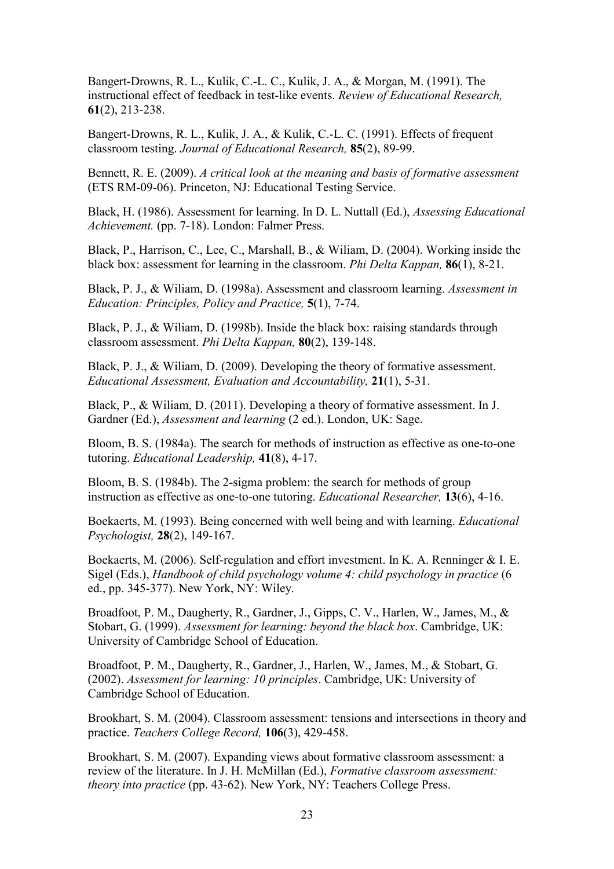Bangert-Drowns, R. L., Kulik, C.-L. C., Kulik, J. A., & Morgan, M. (1991). The instructional effect of feedback in test-like events. *Review of Educational Research,* **61**(2), 213-238.

Bangert-Drowns, R. L., Kulik, J. A., & Kulik, C.-L. C. (1991). Effects of frequent classroom testing. *Journal of Educational Research,* **85**(2), 89-99.

Bennett, R. E. (2009). *A critical look at the meaning and basis of formative assessment* (ETS RM-09-06). Princeton, NJ: Educational Testing Service.

Black, H. (1986). Assessment for learning. In D. L. Nuttall (Ed.), *Assessing Educational Achievement.* (pp. 7-18). London: Falmer Press.

Black, P., Harrison, C., Lee, C., Marshall, B., & Wiliam, D. (2004). Working inside the black box: assessment for learning in the classroom. *Phi Delta Kappan,* **86**(1), 8-21.

Black, P. J., & Wiliam, D. (1998a). Assessment and classroom learning. *Assessment in Education: Principles, Policy and Practice,* **5**(1), 7-74.

Black, P. J., & Wiliam, D. (1998b). Inside the black box: raising standards through classroom assessment. *Phi Delta Kappan,* **80**(2), 139-148.

Black, P. J., & Wiliam, D. (2009). Developing the theory of formative assessment. *Educational Assessment, Evaluation and Accountability,* **21**(1), 5-31.

Black, P., & Wiliam, D. (2011). Developing a theory of formative assessment. In J. Gardner (Ed.), *Assessment and learning* (2 ed.). London, UK: Sage.

Bloom, B. S. (1984a). The search for methods of instruction as effective as one-to-one tutoring. *Educational Leadership,* **41**(8), 4-17.

Bloom, B. S. (1984b). The 2-sigma problem: the search for methods of group instruction as effective as one-to-one tutoring. *Educational Researcher,* **13**(6), 4-16.

Boekaerts, M. (1993). Being concerned with well being and with learning. *Educational Psychologist,* **28**(2), 149-167.

Boekaerts, M. (2006). Self-regulation and effort investment. In K. A. Renninger & I. E. Sigel (Eds.), *Handbook of child psychology volume 4: child psychology in practice* (6 ed., pp. 345-377). New York, NY: Wiley.

Broadfoot, P. M., Daugherty, R., Gardner, J., Gipps, C. V., Harlen, W., James, M., & Stobart, G. (1999). *Assessment for learning: beyond the black box*. Cambridge, UK: University of Cambridge School of Education.

Broadfoot, P. M., Daugherty, R., Gardner, J., Harlen, W., James, M., & Stobart, G. (2002). *Assessment for learning: 10 principles*. Cambridge, UK: University of Cambridge School of Education.

Brookhart, S. M. (2004). Classroom assessment: tensions and intersections in theory and practice. *Teachers College Record,* **106**(3), 429-458.

Brookhart, S. M. (2007). Expanding views about formative classroom assessment: a review of the literature. In J. H. McMillan (Ed.), *Formative classroom assessment: theory into practice* (pp. 43-62). New York, NY: Teachers College Press.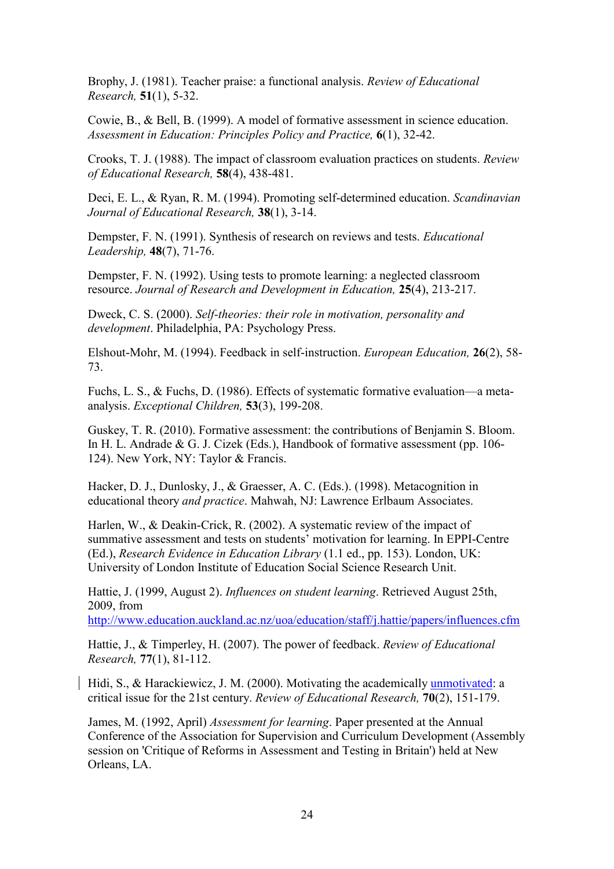Brophy, J. (1981). Teacher praise: a functional analysis. *Review of Educational Research,* **51**(1), 5-32.

Cowie, B., & Bell, B. (1999). A model of formative assessment in science education. *Assessment in Education: Principles Policy and Practice,* **6**(1), 32-42.

Crooks, T. J. (1988). The impact of classroom evaluation practices on students. *Review of Educational Research,* **58**(4), 438-481.

Deci, E. L., & Ryan, R. M. (1994). Promoting self-determined education. *Scandinavian Journal of Educational Research,* **38**(1), 3-14.

Dempster, F. N. (1991). Synthesis of research on reviews and tests. *Educational Leadership,* **48**(7), 71-76.

Dempster, F. N. (1992). Using tests to promote learning: a neglected classroom resource. *Journal of Research and Development in Education,* **25**(4), 213-217.

Dweck, C. S. (2000). *Self-theories: their role in motivation, personality and development*. Philadelphia, PA: Psychology Press.

Elshout-Mohr, M. (1994). Feedback in self-instruction. *European Education,* **26**(2), 58- 73.

Fuchs, L. S., & Fuchs, D. (1986). Effects of systematic formative evaluation—a metaanalysis. *Exceptional Children,* **53**(3), 199-208.

Guskey, T. R. (2010). Formative assessment: the contributions of Benjamin S. Bloom. In H. L. Andrade & G. J. Cizek (Eds.), Handbook of formative assessment (pp. 106- 124). New York, NY: Taylor & Francis.

Hacker, D. J., Dunlosky, J., & Graesser, A. C. (Eds.). (1998). Metacognition in educational theory *and practice*. Mahwah, NJ: Lawrence Erlbaum Associates.

Harlen, W., & Deakin-Crick, R. (2002). A systematic review of the impact of summative assessment and tests on students' motivation for learning. In EPPI-Centre (Ed.), *Research Evidence in Education Library* (1.1 ed., pp. 153). London, UK: University of London Institute of Education Social Science Research Unit.

Hattie, J. (1999, August 2). *Influences on student learning*. Retrieved August 25th, 2009, from

<http://www.education.auckland.ac.nz/uoa/education/staff/j.hattie/papers/influences.cfm>

Hattie, J., & Timperley, H. (2007). The power of feedback. *Review of Educational Research,* **77**(1), 81-112.

Hidi, S., & Harackiewicz, J. M. (2000). Motivating the academically unmotivated: a critical issue for the 21st century. *Review of Educational Research,* **70**(2), 151-179.

James, M. (1992, April) *Assessment for learning*. Paper presented at the Annual Conference of the Association for Supervision and Curriculum Development (Assembly session on 'Critique of Reforms in Assessment and Testing in Britain') held at New Orleans, LA.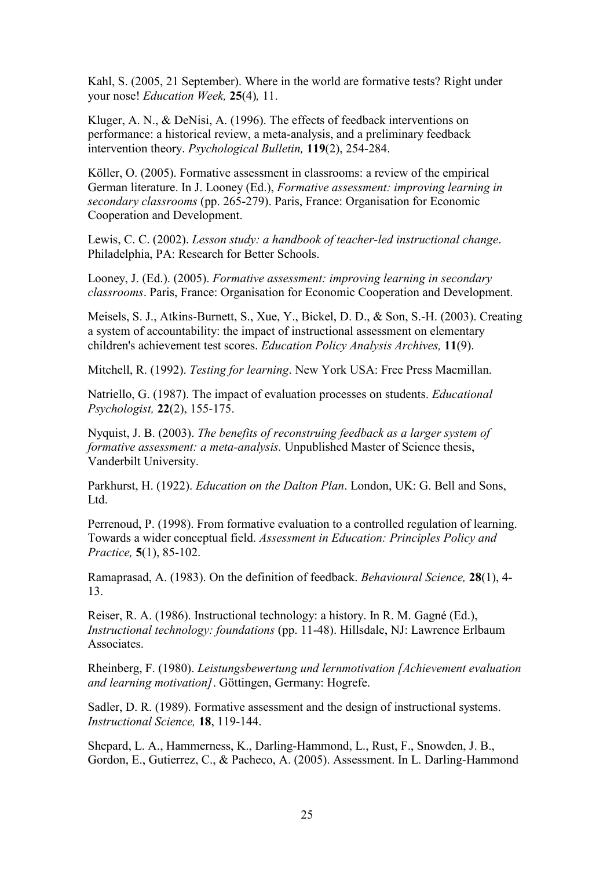Kahl, S. (2005, 21 September). Where in the world are formative tests? Right under your nose! *Education Week,* **25**(4)*,* 11.

Kluger, A. N., & DeNisi, A. (1996). The effects of feedback interventions on performance: a historical review, a meta-analysis, and a preliminary feedback intervention theory. *Psychological Bulletin,* **119**(2), 254-284.

Köller, O. (2005). Formative assessment in classrooms: a review of the empirical German literature. In J. Looney (Ed.), *Formative assessment: improving learning in secondary classrooms* (pp. 265-279). Paris, France: Organisation for Economic Cooperation and Development.

Lewis, C. C. (2002). *Lesson study: a handbook of teacher-led instructional change*. Philadelphia, PA: Research for Better Schools.

Looney, J. (Ed.). (2005). *Formative assessment: improving learning in secondary classrooms*. Paris, France: Organisation for Economic Cooperation and Development.

Meisels, S. J., Atkins-Burnett, S., Xue, Y., Bickel, D. D., & Son, S.-H. (2003). Creating a system of accountability: the impact of instructional assessment on elementary children's achievement test scores. *Education Policy Analysis Archives,* **11**(9).

Mitchell, R. (1992). *Testing for learning*. New York USA: Free Press Macmillan.

Natriello, G. (1987). The impact of evaluation processes on students. *Educational Psychologist,* **22**(2), 155-175.

Nyquist, J. B. (2003). *The benefits of reconstruing feedback as a larger system of formative assessment: a meta-analysis.* Unpublished Master of Science thesis, Vanderbilt University.

Parkhurst, H. (1922). *Education on the Dalton Plan*. London, UK: G. Bell and Sons, Ltd.

Perrenoud, P. (1998). From formative evaluation to a controlled regulation of learning. Towards a wider conceptual field. *Assessment in Education: Principles Policy and Practice,* **5**(1), 85-102.

Ramaprasad, A. (1983). On the definition of feedback. *Behavioural Science,* **28**(1), 4- 13.

Reiser, R. A. (1986). Instructional technology: a history. In R. M. Gagné (Ed.), *Instructional technology: foundations* (pp. 11-48). Hillsdale, NJ: Lawrence Erlbaum **Associates** 

Rheinberg, F. (1980). *Leistungsbewertung und lernmotivation [Achievement evaluation and learning motivation]*. Göttingen, Germany: Hogrefe.

Sadler, D. R. (1989). Formative assessment and the design of instructional systems. *Instructional Science,* **18**, 119-144.

Shepard, L. A., Hammerness, K., Darling-Hammond, L., Rust, F., Snowden, J. B., Gordon, E., Gutierrez, C., & Pacheco, A. (2005). Assessment. In L. Darling-Hammond